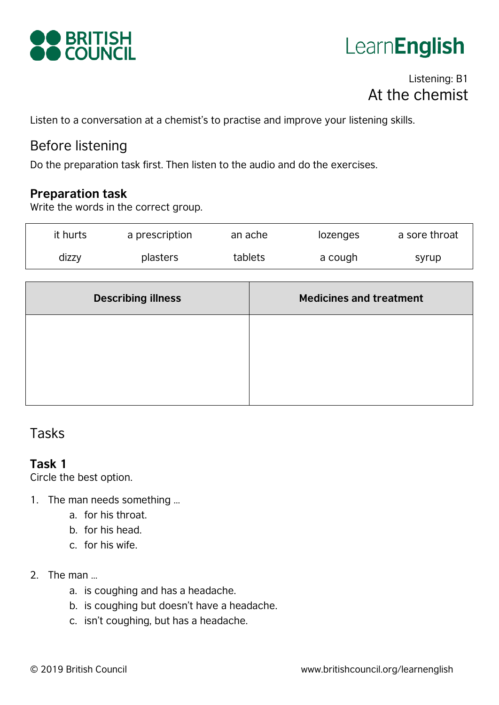



# Listening: B1 At the chemist

Listen to a conversation at a chemist's to practise and improve your listening skills.

## Before listening

Do the preparation task first. Then listen to the audio and do the exercises.

#### **Preparation task**

Write the words in the correct group.

| it hurts | a prescription | an ache | lozenges | a sore throat |
|----------|----------------|---------|----------|---------------|
| dizzy    | plasters       | tablets | a cough  | syrup         |

| <b>Describing illness</b> | <b>Medicines and treatment</b> |
|---------------------------|--------------------------------|
|                           |                                |
|                           |                                |
|                           |                                |

# Tasks

#### **Task 1**

Circle the best option.

- 1. The man needs something …
	- a. for his throat.
	- b. for his head.
	- c. for his wife.
- 2. The man …
	- a. is coughing and has a headache.
	- b. is coughing but doesn't have a headache.
	- c. isn't coughing, but has a headache.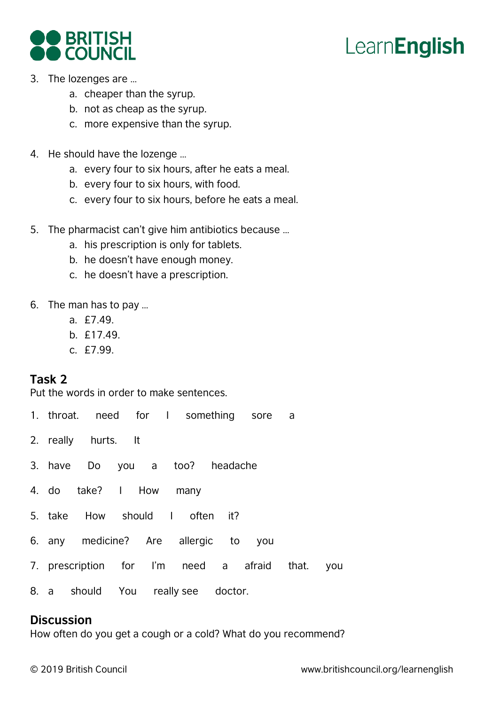# **LearnEnglish**



- 3. The lozenges are …
	- a. cheaper than the syrup.
	- b. not as cheap as the syrup.
	- c. more expensive than the syrup.
- 4. He should have the lozenge …
	- a. every four to six hours, after he eats a meal.
	- b. every four to six hours, with food.
	- c. every four to six hours, before he eats a meal.
- 5. The pharmacist can't give him antibiotics because …
	- a. his prescription is only for tablets.
	- b. he doesn't have enough money.
	- c. he doesn't have a prescription.
- 6. The man has to pay …
	- a. £7.49.
	- b. £17.49.
	- c. £7.99.

## **Task 2**

Put the words in order to make sentences.

- 1. throat. need for I something sore a
- 2. really hurts. It
- 3. have Do you a too? headache
- 4. do take? I How many
- 5. take How should I often it?
- 6. any medicine? Are allergic to you
- 7. prescription for I'm need a afraid that. you
- 8. a should You really see doctor.

#### **Discussion**

How often do you get a cough or a cold? What do you recommend?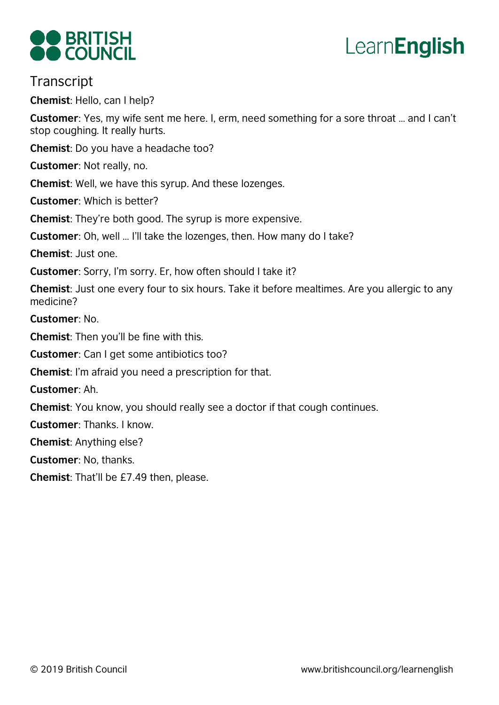



## **Transcript**

**Chemist**: Hello, can I help?

**Customer**: Yes, my wife sent me here. I, erm, need something for a sore throat … and I can't stop coughing. It really hurts.

**Chemist**: Do you have a headache too?

**Customer**: Not really, no.

**Chemist**: Well, we have this syrup. And these lozenges.

**Customer**: Which is better?

**Chemist**: They're both good. The syrup is more expensive.

**Customer**: Oh, well … I'll take the lozenges, then. How many do I take?

**Chemist**: Just one.

**Customer**: Sorry, I'm sorry. Er, how often should I take it?

**Chemist**: Just one every four to six hours. Take it before mealtimes. Are you allergic to any medicine?

**Customer**: No.

**Chemist**: Then you'll be fine with this.

**Customer**: Can I get some antibiotics too?

**Chemist**: I'm afraid you need a prescription for that.

**Customer**: Ah.

**Chemist**: You know, you should really see a doctor if that cough continues.

**Customer**: Thanks. I know.

**Chemist**: Anything else?

**Customer**: No, thanks.

**Chemist**: That'll be £7.49 then, please.